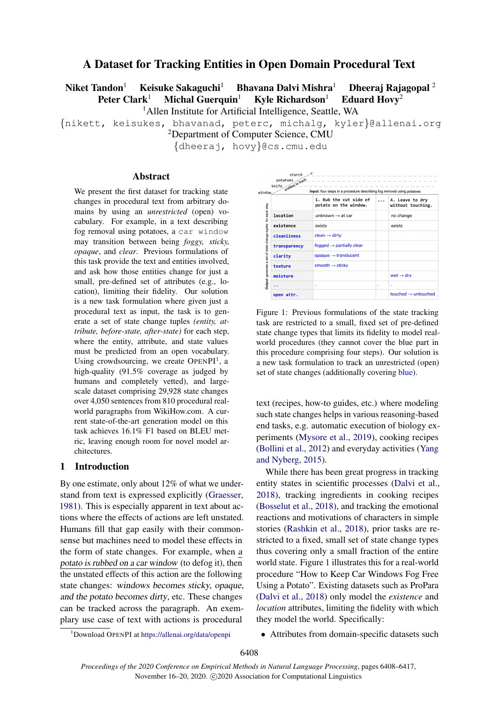# A Dataset for Tracking Entities in Open Domain Procedural Text

Niket Tandon<sup>1</sup> Keisuke Sakaguchi<sup>1</sup> Bhavana Dalvi Mishra<sup>1</sup> Dheeraj Rajagopal<sup>2</sup> Peter Clark<sup>1</sup> Michal Guerquin<sup>1</sup> Kyle Richardson<sup>1</sup> Eduard Hovy<sup>2</sup>

<sup>1</sup> Allen Institute for Artificial Intelligence, Seattle, WA

{nikett, keisukes, bhavanad, peterc, michalg, kyler}@allenai.org

<sup>2</sup>Department of Computer Science, CMU

{dheeraj, hovy}@cs.cmu.edu

#### Abstract

We present the first dataset for tracking state changes in procedural text from arbitrary domains by using an *unrestricted* (open) vocabulary. For example, in a text describing fog removal using potatoes, a car window may transition between being *foggy, sticky, opaque*, and *clear*. Previous formulations of this task provide the text and entities involved, and ask how those entities change for just a small, pre-defined set of attributes (e.g., location), limiting their fidelity. Our solution is a new task formulation where given just a procedural text as input, the task is to generate a set of state change tuples *(entity, attribute, before-state, after-state)* for each step, where the entity, attribute, and state values must be predicted from an open vocabulary. Using crowdsourcing, we create  $OPENPI<sup>1</sup>$  $OPENPI<sup>1</sup>$  $OPENPI<sup>1</sup>$ , a high-quality (91.5% coverage as judged by humans and completely vetted), and largescale dataset comprising 29,928 state changes over 4,050 sentences from 810 procedural realworld paragraphs from WikiHow.com. A current state-of-the-art generation model on this task achieves 16.1% F1 based on BLEU metric, leaving enough room for novel model architectures.

#### 1 Introduction

By one estimate, only about 12% of what we understand from text is expressed explicitly [\(Graesser,](#page-8-0) [1981\)](#page-8-0). This is especially apparent in text about actions where the effects of actions are left unstated. Humans fill that gap easily with their commonsense but machines need to model these effects in the form of state changes. For example, when a potato is rubbed on a car window (to defog it), then the unstated effects of this action are the following state changes: windows becomes sticky, opaque, and the potato becomes dirty, etc. These changes can be tracked across the paragraph. An exemplary use case of text with actions is procedural

<span id="page-0-1"></span>

| entities to track | Input: four steps in a procedure describing fog removal using potatoes |          |                                      |
|-------------------|------------------------------------------------------------------------|----------|--------------------------------------|
|                   | 1. Rub the cut side of<br>potato on the window.                        | $\cdots$ | 4. Leave to dry<br>without touching. |
| location          | unknown $\rightarrow$ at car                                           |          | no change                            |
| existence         | exists                                                                 |          | exists                               |
| cleanliness       | $clean \rightarrow dirty$                                              |          |                                      |
| transparency      | fogged $\rightarrow$ partially clear                                   |          |                                      |
| clarity           | opaque $\rightarrow$ translucent                                       |          |                                      |
| texture           | smooth $\rightarrow$ sticky                                            |          |                                      |
| moisture          |                                                                        |          | wet $\rightarrow$ dry                |
| .                 | $\cdots$                                                               | $\cdots$ | $\cdots$                             |

Figure 1: Previous formulations of the state tracking task are restricted to a small, fixed set of pre-defined state change types that limits its fidelity to model realworld procedures (they cannot cover the blue part in this procedure comprising four steps). Our solution is a new task formulation to track an unrestricted (open) set of state changes (additionally covering blue).

text (recipes, how-to guides, etc.) where modeling such state changes helps in various reasoning-based end tasks, e.g. automatic execution of biology experiments [\(Mysore et al.,](#page-8-1) [2019\)](#page-8-1), cooking recipes [\(Bollini et al.,](#page-8-2) [2012\)](#page-8-2) and everyday activities [\(Yang](#page-9-0) [and Nyberg,](#page-9-0) [2015\)](#page-9-0).

While there has been great progress in tracking entity states in scientific processes [\(Dalvi et al.,](#page-8-3) [2018\)](#page-8-3), tracking ingredients in cooking recipes [\(Bosselut et al.,](#page-8-4) [2018\)](#page-8-4), and tracking the emotional reactions and motivations of characters in simple stories [\(Rashkin et al.,](#page-8-5) [2018\)](#page-8-5), prior tasks are restricted to a fixed, small set of state change types thus covering only a small fraction of the entire world state. Figure [1](#page-0-1) illustrates this for a real-world procedure "How to Keep Car Windows Fog Free Using a Potato". Existing datasets such as ProPara [\(Dalvi et al.,](#page-8-3) [2018\)](#page-8-3) only model the *existence* and *location* attributes, limiting the fidelity with which they model the world. Specifically:

<span id="page-0-0"></span><sup>1</sup>Download OPENPI at <https://allenai.org/data/openpi>

• Attributes from domain-specific datasets such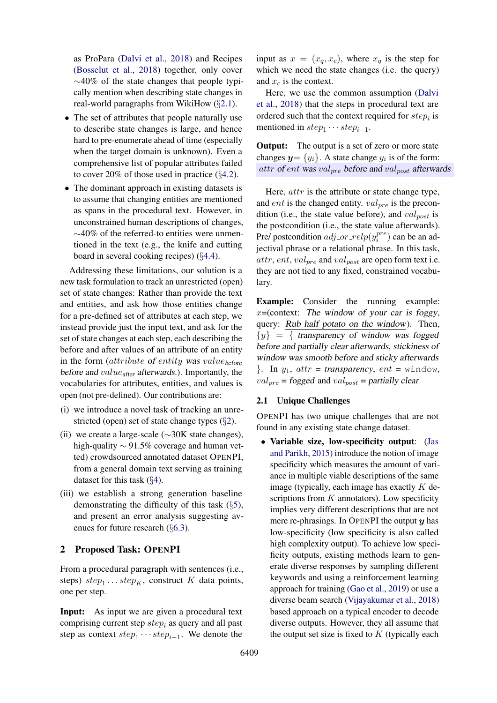as ProPara [\(Dalvi et al.,](#page-8-3) [2018\)](#page-8-3) and Recipes [\(Bosselut et al.,](#page-8-4) [2018\)](#page-8-4) together, only cover  $\sim$ 40% of the state changes that people typically mention when describing state changes in real-world paragraphs from WikiHow (§[2.1\)](#page-1-0).

- The set of attributes that people naturally use to describe state changes is large, and hence hard to pre-enumerate ahead of time (especially when the target domain is unknown). Even a comprehensive list of popular attributes failed to cover 20% of those used in practice  $(\S 4.2)$  $(\S 4.2)$ .
- The dominant approach in existing datasets is to assume that changing entities are mentioned as spans in the procedural text. However, in unconstrained human descriptions of changes, ∼40% of the referred-to entities were unmentioned in the text (e.g., the knife and cutting board in several cooking recipes) (§[4.4\)](#page-5-0).

Addressing these limitations, our solution is a new task formulation to track an unrestricted (open) set of state changes: Rather than provide the text and entities, and ask how those entities change for a pre-defined set of attributes at each step, we instead provide just the input text, and ask for the set of state changes at each step, each describing the before and after values of an attribute of an entity in the form (attribute of entity was valuebefore before and  $value_{after}$  afterwards.). Importantly, the vocabularies for attributes, entities, and values is open (not pre-defined). Our contributions are:

- (i) we introduce a novel task of tracking an unrestricted (open) set of state change types (§[2\)](#page-1-1).
- (ii) we create a large-scale ( $\sim$ 30K state changes), high-quality ∼ 91.5% coverage and human vetted) crowdsourced annotated dataset OPENPI, from a general domain text serving as training dataset for this task (§[4\)](#page-3-0).
- (iii) we establish a strong generation baseline demonstrating the difficulty of this task  $(\S 5)$  $(\S 5)$ , and present an error analysis suggesting avenues for future research (§[6.3\)](#page-7-0).

### <span id="page-1-1"></span>2 Proposed Task: OPENPI

From a procedural paragraph with sentences (i.e., steps)  $step_1 \dots step_K$ , construct K data points, one per step.

Input: As input we are given a procedural text comprising current step  $step_i$  as query and all past step as context  $step_1 \cdots step_{i-1}$ . We denote the

input as  $x = (x_q, x_c)$ , where  $x_q$  is the step for which we need the state changes (i.e. the query) and  $x_c$  is the context.

Here, we use the common assumption [\(Dalvi](#page-8-3) [et al.,](#page-8-3) [2018\)](#page-8-3) that the steps in procedural text are ordered such that the context required for  $step_i$  is mentioned in  $step_1 \cdots step_{i-1}$ .

**Output:** The output is a set of zero or more state changes  $y = \{y_i\}$ . A state change  $y_i$  is of the form: attr of ent was val<sub>pre</sub> before and val<sub>post</sub> afterwards

Here, *attr* is the attribute or state change type, and *ent* is the changed entity.  $val_{pre}$  is the precondition (i.e., the state value before), and  $val_{post}$  is the postcondition (i.e., the state value afterwards). Pre/ postcondition *adj\_or\_relp*( $y_i^{pre}$  $i_i^{pre}$ ) can be an adjectival phrase or a relational phrase. In this task,  $attr, ent, val_{pre}$  and  $val_{post}$  are open form text i.e. they are not tied to any fixed, constrained vocabulary.

Example: Consider the running example:  $x =$ (context: The window of your car is foggy, query: Rub half potato on the window). Then,  $\{y\} = \{$  transparency of window was fogged before and partially clear afterwards, stickiness of window was smooth before and sticky afterwards  $\}$ . In  $y_1$ ,  $attr = transparency$ ,  $ent = window$ ,  $val_{pre}$  = fogged and  $val_{post}$  = partially clear

### <span id="page-1-0"></span>2.1 Unique Challenges

OPENPI has two unique challenges that are not found in any existing state change dataset.

• Variable size, low-specificity output: [\(Jas](#page-8-6) [and Parikh,](#page-8-6) [2015\)](#page-8-6) introduce the notion of image specificity which measures the amount of variance in multiple viable descriptions of the same image (typically, each image has exactly  $K$  descriptions from  $K$  annotators). Low specificity implies very different descriptions that are not mere re-phrasings. In OPENPI the output  $y$  has low-specificity (low specificity is also called high complexity output). To achieve low specificity outputs, existing methods learn to generate diverse responses by sampling different keywords and using a reinforcement learning approach for training [\(Gao et al.,](#page-8-7) [2019\)](#page-8-7) or use a diverse beam search [\(Vijayakumar et al.,](#page-9-1) [2018\)](#page-9-1) based approach on a typical encoder to decode diverse outputs. However, they all assume that the output set size is fixed to  $K$  (typically each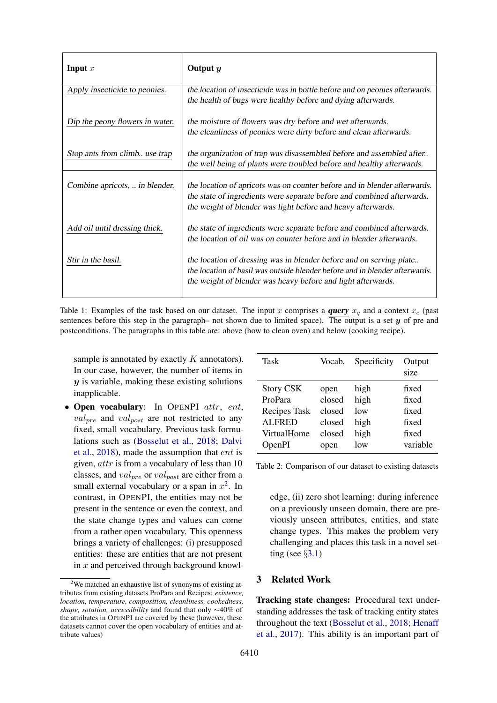| Input $x$                       | Output $y$                                                                                                                                                                                                          |
|---------------------------------|---------------------------------------------------------------------------------------------------------------------------------------------------------------------------------------------------------------------|
| Apply insecticide to peonies.   | the location of insecticide was in bottle before and on peonies afterwards.<br>the health of bugs were healthy before and dying afterwards.                                                                         |
| Dip the peony flowers in water. | the moisture of flowers was dry before and wet afterwards.<br>the cleanliness of peonies were dirty before and clean afterwards.                                                                                    |
| Stop ants from climb use trap   | the organization of trap was disassembled before and assembled after<br>the well being of plants were troubled before and healthy afterwards.                                                                       |
| Combine apricots,  in blender.  | the location of apricots was on counter before and in blender afterwards.<br>the state of ingredients were separate before and combined afterwards.<br>the weight of blender was light before and heavy afterwards. |
| Add oil until dressing thick.   | the state of ingredients were separate before and combined afterwards.<br>the location of oil was on counter before and in blender afterwards.                                                                      |
| Stir in the basil.              | the location of dressing was in blender before and on serving plate<br>the location of basil was outside blender before and in blender afterwards.<br>the weight of blender was heavy before and light afterwards.  |

Table 1: Examples of the task based on our dataset. The input x comprises a **query**  $x_q$  and a context  $x_c$  (past sentences before this step in the paragraph– not shown due to limited space). The output is a set  $y$  of pre and postconditions. The paragraphs in this table are: above (how to clean oven) and below (cooking recipe).

sample is annotated by exactly  $K$  annotators). In our case, however, the number of items in  $y$  is variable, making these existing solutions inapplicable.

• Open vocabulary: In OPENPI attr, ent,  $val_{pre}$  and  $val_{post}$  are not restricted to any fixed, small vocabulary. Previous task formulations such as [\(Bosselut et al.,](#page-8-4) [2018;](#page-8-4) [Dalvi](#page-8-3) [et al.,](#page-8-3) [2018\)](#page-8-3), made the assumption that ent is given, attr is from a vocabulary of less than 10 classes, and  $val_{pre}$  or  $val_{post}$  are either from a small external vocabulary or a span in  $x^2$  $x^2$ . In contrast, in OPENPI, the entities may not be present in the sentence or even the context, and the state change types and values can come from a rather open vocabulary. This openness brings a variety of challenges: (i) presupposed entities: these are entities that are not present in  $x$  and perceived through background knowl-

<span id="page-2-1"></span>

| Task             | Vocab. | Specificity | Output<br>size |
|------------------|--------|-------------|----------------|
| <b>Story CSK</b> | open   | high        | fixed          |
| ProPara          | closed | high        | fixed          |
| Recipes Task     | closed | low         | fixed          |
| <b>ALFRED</b>    | closed | high        | fixed          |
| VirtualHome      | closed | high        | fixed          |
| OpenPI           | open   | low         | variable       |

Table 2: Comparison of our dataset to existing datasets

edge, (ii) zero shot learning: during inference on a previously unseen domain, there are previously unseen attributes, entities, and state change types. This makes the problem very challenging and places this task in a novel setting (see  $\S3.1$ )

### 3 Related Work

Tracking state changes: Procedural text understanding addresses the task of tracking entity states throughout the text [\(Bosselut et al.,](#page-8-4) [2018;](#page-8-4) [Henaff](#page-8-8) [et al.,](#page-8-8) [2017\)](#page-8-8). This ability is an important part of

<span id="page-2-0"></span><sup>&</sup>lt;sup>2</sup>We matched an exhaustive list of synonyms of existing attributes from existing datasets ProPara and Recipes: *existence, location, temperature, composition, cleanliness, cookedness, shape, rotation, accessibility* and found that only ∼40% of the attributes in OPENPI are covered by these (however, these datasets cannot cover the open vocabulary of entities and attribute values)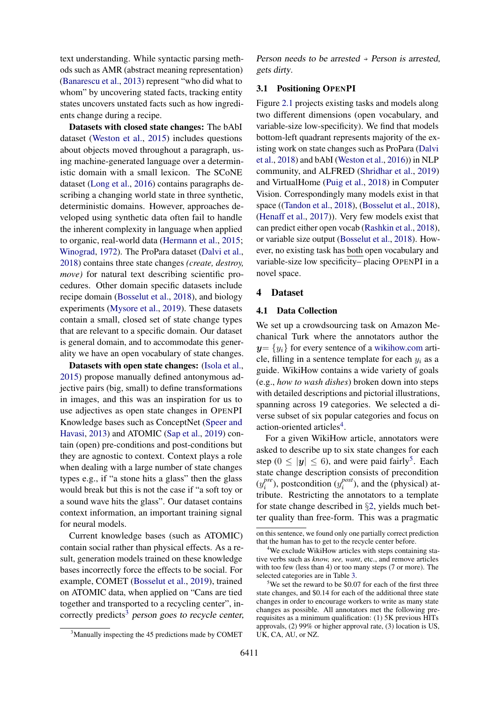text understanding. While syntactic parsing methods such as AMR (abstract meaning representation) [\(Banarescu et al.,](#page-8-9) [2013\)](#page-8-9) represent "who did what to whom" by uncovering stated facts, tracking entity states uncovers unstated facts such as how ingredients change during a recipe.

Datasets with closed state changes: The bAbI dataset [\(Weston et al.,](#page-9-2) [2015\)](#page-9-2) includes questions about objects moved throughout a paragraph, using machine-generated language over a deterministic domain with a small lexicon. The SCoNE dataset [\(Long et al.,](#page-8-10) [2016\)](#page-8-10) contains paragraphs describing a changing world state in three synthetic, deterministic domains. However, approaches developed using synthetic data often fail to handle the inherent complexity in language when applied to organic, real-world data [\(Hermann et al.,](#page-8-11) [2015;](#page-8-11) [Winograd,](#page-9-3) [1972\)](#page-9-3). The ProPara dataset [\(Dalvi et al.,](#page-8-3) [2018\)](#page-8-3) contains three state changes *(create, destroy, move*) for natural text describing scientific procedures. Other domain specific datasets include recipe domain [\(Bosselut et al.,](#page-8-4) [2018\)](#page-8-4), and biology experiments [\(Mysore et al.,](#page-8-1) [2019\)](#page-8-1). These datasets contain a small, closed set of state change types that are relevant to a specific domain. Our dataset is general domain, and to accommodate this generality we have an open vocabulary of state changes.

Datasets with open state changes: [\(Isola et al.,](#page-8-12) [2015\)](#page-8-12) propose manually defined antonymous adjective pairs (big, small) to define transformations in images, and this was an inspiration for us to use adjectives as open state changes in OPENPI Knowledge bases such as ConceptNet [\(Speer and](#page-9-4) [Havasi,](#page-9-4) [2013\)](#page-9-4) and ATOMIC [\(Sap et al.,](#page-8-13) [2019\)](#page-8-13) contain (open) pre-conditions and post-conditions but they are agnostic to context. Context plays a role when dealing with a large number of state changes types e.g., if "a stone hits a glass" then the glass would break but this is not the case if "a soft toy or a sound wave hits the glass". Our dataset contains context information, an important training signal for neural models.

Current knowledge bases (such as ATOMIC) contain social rather than physical effects. As a result, generation models trained on these knowledge bases incorrectly force the effects to be social. For example, COMET [\(Bosselut et al.,](#page-8-14) [2019\)](#page-8-14), trained on ATOMIC data, when applied on "Cans are tied together and transported to a recycling center", in-correctly predicts<sup>[3](#page-3-2)</sup> person goes to recycle center,

<span id="page-3-2"></span><sup>3</sup>Manually inspecting the 45 predictions made by COMET

Person needs to be arrested  $\rightarrow$  Person is arrested, gets dirty.

#### <span id="page-3-1"></span>3.1 Positioning OPENPI

Figure [2.1](#page-2-1) projects existing tasks and models along two different dimensions (open vocabulary, and variable-size low-specificity). We find that models bottom-left quadrant represents majority of the existing work on state changes such as ProPara [\(Dalvi](#page-8-3) [et al.,](#page-8-3) [2018\)](#page-8-3) and bAbI [\(Weston et al.,](#page-9-5) [2016\)](#page-9-5)) in NLP community, and ALFRED [\(Shridhar et al.,](#page-9-6) [2019\)](#page-9-6) and VirtualHome [\(Puig et al.,](#page-8-15) [2018\)](#page-8-15) in Computer Vision. Correspondingly many models exist in that space ([\(Tandon et al.,](#page-9-7) [2018\)](#page-9-7), [\(Bosselut et al.,](#page-8-4) [2018\)](#page-8-4), [\(Henaff et al.,](#page-8-8) [2017\)](#page-8-8)). Very few models exist that can predict either open vocab [\(Rashkin et al.,](#page-8-5) [2018\)](#page-8-5), or variable size output [\(Bosselut et al.,](#page-8-4) [2018\)](#page-8-4). However, no existing task has both open vocabulary and variable-size low specificity– placing OPENPI in a novel space.

#### <span id="page-3-0"></span>4 Dataset

### 4.1 Data Collection

We set up a crowdsourcing task on Amazon Mechanical Turk where the annotators author the  $y=\{y_i\}$  for every sentence of a <wikihow.com> article, filling in a sentence template for each  $y_i$  as a guide. WikiHow contains a wide variety of goals (e.g., *how to wash dishes*) broken down into steps with detailed descriptions and pictorial illustrations, spanning across 19 categories. We selected a diverse subset of six popular categories and focus on action-oriented articles<sup>[4](#page-3-3)</sup>.

For a given WikiHow article, annotators were asked to describe up to six state changes for each step ( $0 \le |y| \le 6$ ), and were paid fairly<sup>[5](#page-3-4)</sup>. Each state change description consists of precondition  $(y_i^{pre}$  $i^{pre}$ ), postcondition ( $y_i^{post}$  $i<sup>post</sup>$ ), and the (physical) attribute. Restricting the annotators to a template for state change described in §[2,](#page-1-1) yields much better quality than free-form. This was a pragmatic

on this sentence, we found only one partially correct prediction that the human has to get to the recycle center before.

<span id="page-3-3"></span><sup>&</sup>lt;sup>4</sup>We exclude WikiHow articles with steps containing stative verbs such as *know, see, want*, etc., and remove articles with too few (less than 4) or too many steps (7 or more). The selected categories are in Table [3.](#page-5-2)

<span id="page-3-4"></span> $5$ We set the reward to be \$0.07 for each of the first three state changes, and \$0.14 for each of the additional three state changes in order to encourage workers to write as many state changes as possible. All annotators met the following prerequisites as a minimum qualification: (1) 5K previous HITs approvals, (2) 99% or higher approval rate, (3) location is US, UK, CA, AU, or NZ.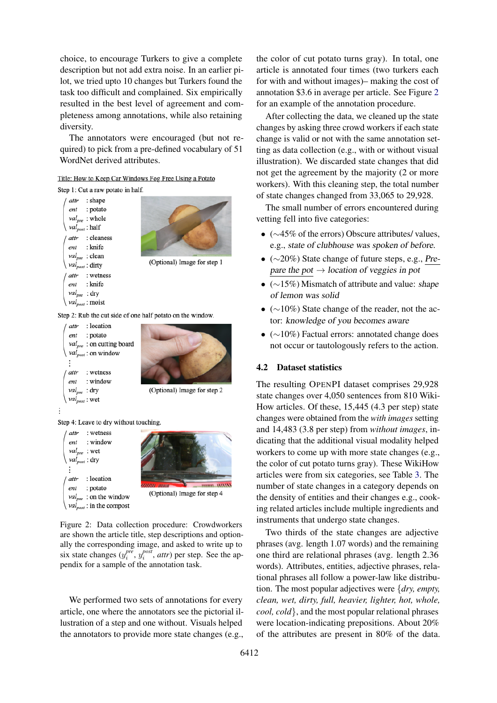choice, to encourage Turkers to give a complete description but not add extra noise. In an earlier pilot, we tried upto 10 changes but Turkers found the task too difficult and complained. Six empirically resulted in the best level of agreement and completeness among annotations, while also retaining diversity.

The annotators were encouraged (but not required) to pick from a pre-defined vocabulary of 51 WordNet derived attributes.

# <span id="page-4-1"></span>Title: How to Keep Car Windows Fog Free Using a Potato

Step 1: Cut a raw potato in half.



Step 2: Rub the cut side of one half potato on the window.



Step 4: Leave to dry without touching.



Figure 2: Data collection procedure: Crowdworkers are shown the article title, step descriptions and optionally the corresponding image, and asked to write up to six state changes  $(y_i^{pre}, y_i^{post}, attr)$  per step. See the appendix for a sample of the annotation task.

We performed two sets of annotations for every article, one where the annotators see the pictorial illustration of a step and one without. Visuals helped the annotators to provide more state changes (e.g., the color of cut potato turns gray). In total, one article is annotated four times (two turkers each for with and without images)– making the cost of annotation \$3.6 in average per article. See Figure [2](#page-4-1) for an example of the annotation procedure.

After collecting the data, we cleaned up the state changes by asking three crowd workers if each state change is valid or not with the same annotation setting as data collection (e.g., with or without visual illustration). We discarded state changes that did not get the agreement by the majority (2 or more workers). With this cleaning step, the total number of state changes changed from 33,065 to 29,928.

The small number of errors encountered during vetting fell into five categories:

- (∼45% of the errors) Obscure attributes/ values, e.g., state of clubhouse was spoken of before.
- (∼20%) State change of future steps, e.g., Prepare the pot  $\rightarrow$  location of veggies in pot
- $(\sim 15\%)$  Mismatch of attribute and value: shape of lemon was solid
- $(\sim 10\%)$  State change of the reader, not the actor: knowledge of you becomes aware
- (∼10%) Factual errors: annotated change does not occur or tautologously refers to the action.

#### <span id="page-4-0"></span>4.2 Dataset statistics

The resulting OPENPI dataset comprises 29,928 state changes over 4,050 sentences from 810 Wiki-How articles. Of these, 15,445 (4.3 per step) state changes were obtained from the *with images* setting and 14,483 (3.8 per step) from *without images*, indicating that the additional visual modality helped workers to come up with more state changes (e.g., the color of cut potato turns gray). These WikiHow articles were from six categories, see Table [3.](#page-5-2) The number of state changes in a category depends on the density of entities and their changes e.g., cooking related articles include multiple ingredients and instruments that undergo state changes.

Two thirds of the state changes are adjective phrases (avg. length 1.07 words) and the remaining one third are relational phrases (avg. length 2.36 words). Attributes, entities, adjective phrases, relational phrases all follow a power-law like distribution. The most popular adjectives were {*dry, empty, clean, wet, dirty, full, heavier, lighter, hot, whole, cool, cold*}, and the most popular relational phrases were location-indicating prepositions. About 20% of the attributes are present in 80% of the data.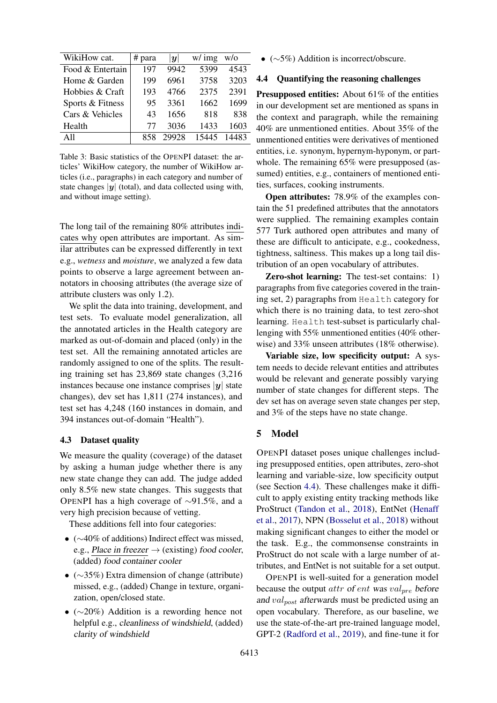<span id="page-5-2"></span>

| WikiHow cat.     | # para | y     | $w/$ img | W/O   |
|------------------|--------|-------|----------|-------|
| Food & Entertain | 197    | 9942  | 5399     | 4543  |
| Home & Garden    | 199    | 6961  | 3758     | 3203  |
| Hobbies & Craft  | 193    | 4766  | 2375     | 2391  |
| Sports & Fitness | 95     | 3361  | 1662     | 1699  |
| Cars & Vehicles  | 43     | 1656  | 818      | 838   |
| Health           | 77     | 3036  | 1433     | 1603  |
| $\Delta$ 11      | 858    | 29928 | 15445    | 14483 |

Table 3: Basic statistics of the OPENPI dataset: the articles' WikiHow category, the number of WikiHow articles (i.e., paragraphs) in each category and number of state changes  $|y|$  (total), and data collected using with, and without image setting).

The long tail of the remaining 80% attributes indicates why open attributes are important. As similar attributes can be expressed differently in text e.g., *wetness* and *moisture*, we analyzed a few data points to observe a large agreement between annotators in choosing attributes (the average size of attribute clusters was only 1.2).

We split the data into training, development, and test sets. To evaluate model generalization, all the annotated articles in the Health category are marked as out-of-domain and placed (only) in the test set. All the remaining annotated articles are randomly assigned to one of the splits. The resulting training set has 23,869 state changes (3,216 instances because one instance comprises  $|y|$  state changes), dev set has 1,811 (274 instances), and test set has 4,248 (160 instances in domain, and 394 instances out-of-domain "Health").

#### 4.3 Dataset quality

We measure the quality (coverage) of the dataset by asking a human judge whether there is any new state change they can add. The judge added only 8.5% new state changes. This suggests that OPENPI has a high coverage of ∼91.5%, and a very high precision because of vetting.

These additions fell into four categories:

- (∼40% of additions) Indirect effect was missed, e.g., Place in freezer  $\rightarrow$  (existing) food cooler, (added) food container cooler
- (∼35%) Extra dimension of change (attribute) missed, e.g., (added) Change in texture, organization, open/closed state.
- (∼20%) Addition is a rewording hence not helpful e.g., cleanliness of windshield, (added) clarity of windshield

•  $(\sim 5\%)$  Addition is incorrect/obscure.

#### <span id="page-5-0"></span>4.4 Quantifying the reasoning challenges

Presupposed entities: About 61% of the entities in our development set are mentioned as spans in the context and paragraph, while the remaining 40% are unmentioned entities. About 35% of the unmentioned entities were derivatives of mentioned entities, i.e. synonym, hypernym-hyponym, or partwhole. The remaining 65% were presupposed (assumed) entities, e.g., containers of mentioned entities, surfaces, cooking instruments.

Open attributes: 78.9% of the examples contain the 51 predefined attributes that the annotators were supplied. The remaining examples contain 577 Turk authored open attributes and many of these are difficult to anticipate, e.g., cookedness, tightness, saltiness. This makes up a long tail distribution of an open vocabulary of attributes.

Zero-shot learning: The test-set contains: 1) paragraphs from five categories covered in the training set, 2) paragraphs from Health category for which there is no training data, to test zero-shot learning. Health test-subset is particularly challenging with 55% unmentioned entities (40% otherwise) and 33% unseen attributes (18% otherwise).

Variable size, low specificity output: A system needs to decide relevant entities and attributes would be relevant and generate possibly varying number of state changes for different steps. The dev set has on average seven state changes per step, and 3% of the steps have no state change.

#### <span id="page-5-1"></span>5 Model

OPENPI dataset poses unique challenges including presupposed entities, open attributes, zero-shot learning and variable-size, low specificity output (see Section [4.4\)](#page-5-0). These challenges make it difficult to apply existing entity tracking methods like ProStruct [\(Tandon et al.,](#page-9-7) [2018\)](#page-9-7), EntNet [\(Henaff](#page-8-8) [et al.,](#page-8-8) [2017\)](#page-8-8), NPN [\(Bosselut et al.,](#page-8-4) [2018\)](#page-8-4) without making significant changes to either the model or the task. E.g., the commonsense constraints in ProStruct do not scale with a large number of attributes, and EntNet is not suitable for a set output.

OPENPI is well-suited for a generation model because the output  $attr$  of ent was val<sub>pre</sub> before and  $val_{post}$  afterwards must be predicted using an open vocabulary. Therefore, as our baseline, we use the state-of-the-art pre-trained language model, GPT-2 [\(Radford et al.,](#page-8-16) [2019\)](#page-8-16), and fine-tune it for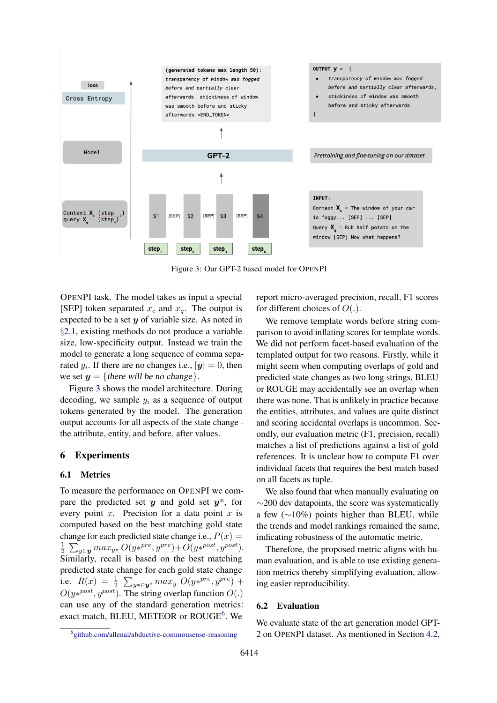<span id="page-6-0"></span>

Figure 3: Our GPT-2 based model for OPENPI

OPENPI task. The model takes as input a special [SEP] token separated  $x_c$  and  $x_q$ . The output is expected to be a set  $y$  of variable size. As noted in §[2.1,](#page-1-0) existing methods do not produce a variable size, low-specificity output. Instead we train the model to generate a long sequence of comma separated  $y_i$ . If there are no changes i.e.,  $|\boldsymbol{y}| = 0$ , then we set  $y = \{$  there will be no change.

Figure [3](#page-6-0) shows the model architecture. During decoding, we sample  $y_i$  as a sequence of output tokens generated by the model. The generation output accounts for all aspects of the state change the attribute, entity, and before, after values.

### 6 Experiments

#### 6.1 Metrics

To measure the performance on OPENPI we compare the predicted set  $y$  and gold set  $y^*$ , for every point  $x$ . Precision for a data point  $x$  is computed based on the best matching gold state change for each predicted state change i.e.,  $P(x) =$ 1  $\frac{1}{2} \sum_{y \in y} max_{y*} O(y*^{pre}, y^{pre}) + O(y*^{post}, y^{post}).$ Similarly, recall is based on the best matching predicted state change for each gold state change i.e.  $R(x) = \frac{1}{2} \sum_{y * \in \mathbf{y}^*} max_y O(y *^{pre}, y^{pre}) +$  $O(y*<sup>post</sup>, y<sup>post</sup>)$ . The string overlap function  $O(.)$ can use any of the standard generation metrics: exact match, BLEU, METEOR or ROUGE<sup>[6](#page-6-1)</sup>. We

report micro-averaged precision, recall, F1 scores for different choices of  $O(.)$ .

We remove template words before string comparison to avoid inflating scores for template words. We did not perform facet-based evaluation of the templated output for two reasons. Firstly, while it might seem when computing overlaps of gold and predicted state changes as two long strings, BLEU or ROUGE may accidentally see an overlap when there was none. That is unlikely in practice because the entities, attributes, and values are quite distinct and scoring accidental overlaps is uncommon. Secondly, our evaluation metric (F1, precision, recall) matches a list of predictions against a list of gold references. It is unclear how to compute F1 over individual facets that requires the best match based on all facets as tuple.

We also found that when manually evaluating on  $\sim$ 200 dev datapoints, the score was systematically a few (∼10%) points higher than BLEU, while the trends and model rankings remained the same, indicating robustness of the automatic metric.

Therefore, the proposed metric aligns with human evaluation, and is able to use existing generation metrics thereby simplifying evaluation, allowing easier reproducibility.

### 6.2 Evaluation

We evaluate state of the art generation model GPT-2 on OPENPI dataset. As mentioned in Section [4.2,](#page-4-0)

<span id="page-6-1"></span><sup>6</sup> <github.com/allenai/abductive-commonsense-reasoning>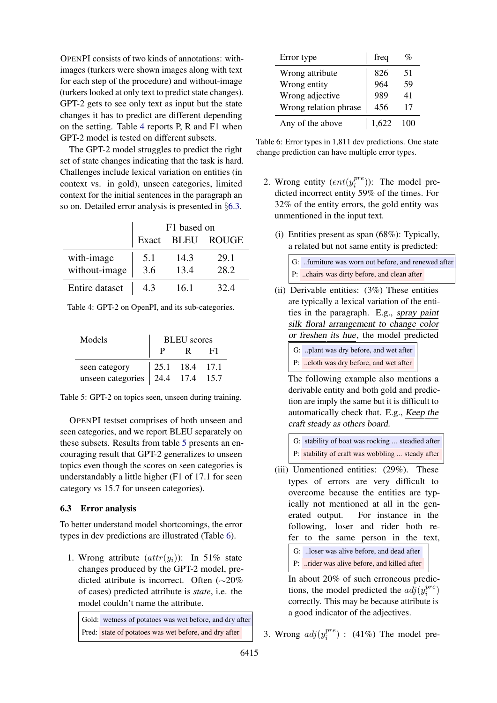OPENPI consists of two kinds of annotations: withimages (turkers were shown images along with text for each step of the procedure) and without-image (turkers looked at only text to predict state changes). GPT-2 gets to see only text as input but the state changes it has to predict are different depending on the setting. Table [4](#page-7-1) reports P, R and F1 when GPT-2 model is tested on different subsets.

The GPT-2 model struggles to predict the right set of state changes indicating that the task is hard. Challenges include lexical variation on entities (in context vs. in gold), unseen categories, limited context for the initial sentences in the paragraph an so on. Detailed error analysis is presented in §[6.3.](#page-7-0)

<span id="page-7-1"></span>

|                | F1 based on |      |                   |
|----------------|-------------|------|-------------------|
|                | Exact       |      | <b>BLEU ROUGE</b> |
| with-image     | 5.1         | 14.3 | 29.1              |
| without-image  | 3.6         | 13.4 | 28.2              |
| Entire dataset | 43          | 16.1 | $32\Delta$        |

Table 4: GPT-2 on OpenPI, and its sub-categories.

<span id="page-7-2"></span>

| Models                                                                                 | <b>BLEU</b> scores |  |  |  |
|----------------------------------------------------------------------------------------|--------------------|--|--|--|
|                                                                                        |                    |  |  |  |
| seen category $\begin{vmatrix} 25.1 & 18.4 & 17.1 \\ 24.4 & 17.4 & 15.7 \end{vmatrix}$ |                    |  |  |  |
|                                                                                        |                    |  |  |  |

Table 5: GPT-2 on topics seen, unseen during training.

OPENPI testset comprises of both unseen and seen categories, and we report BLEU separately on these subsets. Results from table [5](#page-7-2) presents an encouraging result that GPT-2 generalizes to unseen topics even though the scores on seen categories is understandably a little higher (F1 of 17.1 for seen category vs 15.7 for unseen categories).

## <span id="page-7-0"></span>6.3 Error analysis

To better understand model shortcomings, the error types in dev predictions are illustrated (Table [6\)](#page-7-3).

1. Wrong attribute  $(attr(y<sub>i</sub>))$ : In 51% state changes produced by the GPT-2 model, predicted attribute is incorrect. Often (∼20% of cases) predicted attribute is *state*, i.e. the model couldn't name the attribute.

Gold: wetness of potatoes was wet before, and dry after Pred: state of potatoes was wet before, and dry after

<span id="page-7-3"></span>

| Error type            | freq  |    |
|-----------------------|-------|----|
| Wrong attribute       | 826   | 51 |
| Wrong entity          | 964   | 59 |
| Wrong adjective       | 989   | 41 |
| Wrong relation phrase | 456   | 17 |
| Any of the above      | 1.622 |    |

Table 6: Error types in 1,811 dev predictions. One state change prediction can have multiple error types.

- 2. Wrong entity  $(ent(y_i^{pre}))$  $i<sup>pre</sup>)$ ): The model predicted incorrect entity 59% of the times. For 32% of the entity errors, the gold entity was unmentioned in the input text.
	- (i) Entities present as span (68%): Typically, a related but not same entity is predicted:



- (ii) Derivable entities: (3%) These entities are typically a lexical variation of the entities in the paragraph. E.g., spray paint silk floral arrangement to change color or freshen its hue, the model predicted
	- G: ..plant was dry before, and wet after
	- P: ..cloth was dry before, and wet after

The following example also mentions a derivable entity and both gold and prediction are imply the same but it is difficult to automatically check that. E.g., Keep the craft steady as others board.

| G: stability of boat was rocking  steadied after |
|--------------------------------------------------|
| P: stability of craft was wobbling  steady after |

(iii) Unmentioned entities: (29%). These types of errors are very difficult to overcome because the entities are typically not mentioned at all in the generated output. For instance in the following, loser and rider both refer to the same person in the text, G: ..loser was alive before, and dead after

P: ..rider was alive before, and killed after

In about 20% of such erroneous predictions, the model predicted the  $adj(y_i^{pre})$  $i^{pre})$ correctly. This may be because attribute is a good indicator of the adjectives.

3. Wrong  $adj(y_i^{pre})$  $i_i^{pre}$  : (41%) The model pre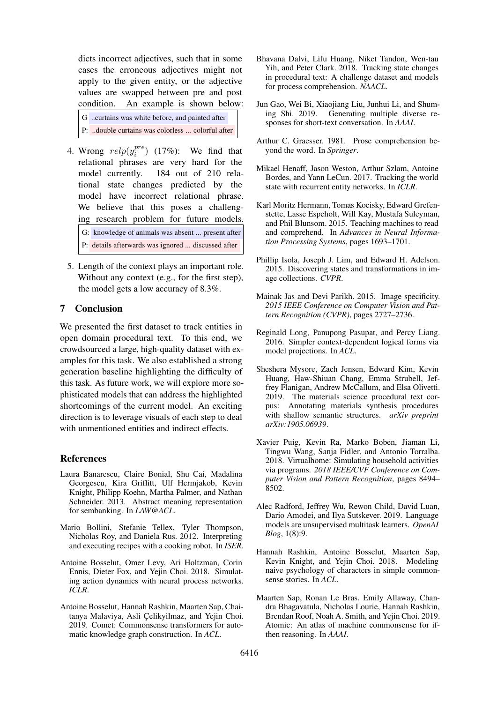dicts incorrect adjectives, such that in some cases the erroneous adjectives might not apply to the given entity, or the adjective values are swapped between pre and post condition. An example is shown below:

| G  curtains was white before, and painted after  |  |
|--------------------------------------------------|--|
| P: double curtains was colorless  colorful after |  |

- 4. Wrong  $relp(y_i^{pre})$  $i_i^{pre}$ ) (17%): We find that relational phrases are very hard for the model currently. 184 out of 210 relational state changes predicted by the model have incorrect relational phrase. We believe that this poses a challenging research problem for future models. G: knowledge of animals was absent ... present after P: details afterwards was ignored ... discussed after
- 5. Length of the context plays an important role. Without any context (e.g., for the first step), the model gets a low accuracy of 8.3%.

# 7 Conclusion

We presented the first dataset to track entities in open domain procedural text. To this end, we crowdsourced a large, high-quality dataset with examples for this task. We also established a strong generation baseline highlighting the difficulty of this task. As future work, we will explore more sophisticated models that can address the highlighted shortcomings of the current model. An exciting direction is to leverage visuals of each step to deal with unmentioned entities and indirect effects.

### References

- <span id="page-8-9"></span>Laura Banarescu, Claire Bonial, Shu Cai, Madalina Georgescu, Kira Griffitt, Ulf Hermjakob, Kevin Knight, Philipp Koehn, Martha Palmer, and Nathan Schneider. 2013. Abstract meaning representation for sembanking. In *LAW@ACL*.
- <span id="page-8-2"></span>Mario Bollini, Stefanie Tellex, Tyler Thompson, Nicholas Roy, and Daniela Rus. 2012. Interpreting and executing recipes with a cooking robot. In *ISER*.
- <span id="page-8-4"></span>Antoine Bosselut, Omer Levy, Ari Holtzman, Corin Ennis, Dieter Fox, and Yejin Choi. 2018. Simulating action dynamics with neural process networks. *ICLR*.
- <span id="page-8-14"></span>Antoine Bosselut, Hannah Rashkin, Maarten Sap, Chaitanya Malaviya, Asli Celikyilmaz, and Yejin Choi. 2019. Comet: Commonsense transformers for automatic knowledge graph construction. In *ACL*.
- <span id="page-8-3"></span>Bhavana Dalvi, Lifu Huang, Niket Tandon, Wen-tau Yih, and Peter Clark. 2018. Tracking state changes in procedural text: A challenge dataset and models for process comprehension. *NAACL*.
- <span id="page-8-7"></span>Jun Gao, Wei Bi, Xiaojiang Liu, Junhui Li, and Shuming Shi. 2019. Generating multiple diverse responses for short-text conversation. In *AAAI*.
- <span id="page-8-0"></span>Arthur C. Graesser. 1981. Prose comprehension beyond the word. In *Springer*.
- <span id="page-8-8"></span>Mikael Henaff, Jason Weston, Arthur Szlam, Antoine Bordes, and Yann LeCun. 2017. Tracking the world state with recurrent entity networks. In *ICLR*.
- <span id="page-8-11"></span>Karl Moritz Hermann, Tomas Kocisky, Edward Grefenstette, Lasse Espeholt, Will Kay, Mustafa Suleyman, and Phil Blunsom. 2015. Teaching machines to read and comprehend. In *Advances in Neural Information Processing Systems*, pages 1693–1701.
- <span id="page-8-12"></span>Phillip Isola, Joseph J. Lim, and Edward H. Adelson. 2015. Discovering states and transformations in image collections. *CVPR*.
- <span id="page-8-6"></span>Mainak Jas and Devi Parikh. 2015. Image specificity. *2015 IEEE Conference on Computer Vision and Pattern Recognition (CVPR)*, pages 2727–2736.
- <span id="page-8-10"></span>Reginald Long, Panupong Pasupat, and Percy Liang. 2016. Simpler context-dependent logical forms via model projections. In *ACL*.
- <span id="page-8-1"></span>Sheshera Mysore, Zach Jensen, Edward Kim, Kevin Huang, Haw-Shiuan Chang, Emma Strubell, Jeffrey Flanigan, Andrew McCallum, and Elsa Olivetti. 2019. The materials science procedural text corpus: Annotating materials synthesis procedures with shallow semantic structures. *arXiv preprint arXiv:1905.06939*.
- <span id="page-8-15"></span>Xavier Puig, Kevin Ra, Marko Boben, Jiaman Li, Tingwu Wang, Sanja Fidler, and Antonio Torralba. 2018. Virtualhome: Simulating household activities via programs. *2018 IEEE/CVF Conference on Computer Vision and Pattern Recognition*, pages 8494– 8502.
- <span id="page-8-16"></span>Alec Radford, Jeffrey Wu, Rewon Child, David Luan, Dario Amodei, and Ilya Sutskever. 2019. Language models are unsupervised multitask learners. *OpenAI Blog*, 1(8):9.
- <span id="page-8-5"></span>Hannah Rashkin, Antoine Bosselut, Maarten Sap, Kevin Knight, and Yejin Choi. 2018. Modeling naive psychology of characters in simple commonsense stories. In *ACL*.
- <span id="page-8-13"></span>Maarten Sap, Ronan Le Bras, Emily Allaway, Chandra Bhagavatula, Nicholas Lourie, Hannah Rashkin, Brendan Roof, Noah A. Smith, and Yejin Choi. 2019. Atomic: An atlas of machine commonsense for ifthen reasoning. In *AAAI*.